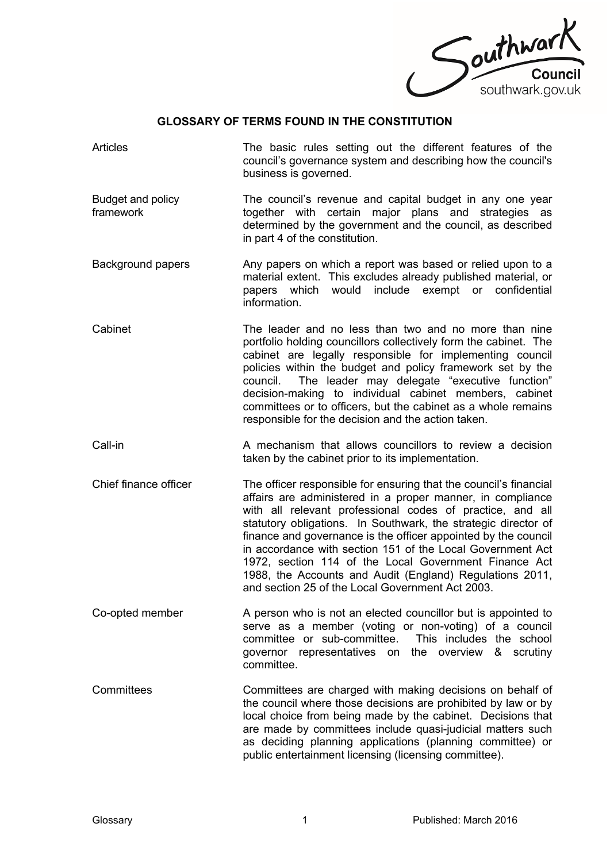

## **GLOSSARY OF TERMS FOUND IN THE CONSTITUTION**

- Articles The basic rules setting out the different features of the council's governance system and describing how the council's business is governed.
- Budget and policy framework The council's revenue and capital budget in any one year together with certain major plans and strategies as determined by the government and the council, as described in part 4 of the constitution.
- Background papers Any papers on which a report was based or relied upon to a material extent. This excludes already published material, or papers which would include exempt or confidential information.
- Cabinet The leader and no less than two and no more than nine portfolio holding councillors collectively form the cabinet. The cabinet are legally responsible for implementing council policies within the budget and policy framework set by the council. The leader may delegate "executive function" decision-making to individual cabinet members, cabinet committees or to officers, but the cabinet as a whole remains responsible for the decision and the action taken.
- Call-in A mechanism that allows councillors to review a decision taken by the cabinet prior to its implementation.
- Chief finance officer The officer responsible for ensuring that the council's financial affairs are administered in a proper manner, in compliance with all relevant professional codes of practice, and all statutory obligations. In Southwark, the strategic director of finance and governance is the officer appointed by the council in accordance with section 151 of the Local Government Act 1972, section 114 of the Local Government Finance Act 1988, the Accounts and Audit (England) Regulations 2011, and section 25 of the Local Government Act 2003.
- Co-opted member A person who is not an elected councillor but is appointed to serve as a member (voting or non-voting) of a council committee or sub-committee. This includes the school governor representatives on the overview & scrutiny committee.
- Committees Committees are charged with making decisions on behalf of the council where those decisions are prohibited by law or by local choice from being made by the cabinet. Decisions that are made by committees include quasi-judicial matters such as deciding planning applications (planning committee) or public entertainment licensing (licensing committee).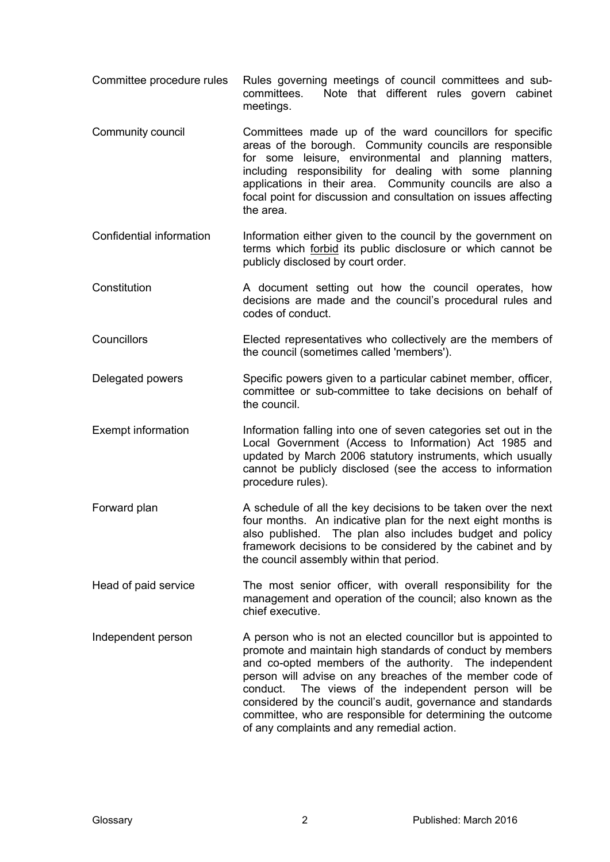- Committee procedure rules Rules governing meetings of council committees and subcommittees. Note that different rules govern cabinet meetings.
- Community council Committees made up of the ward councillors for specific areas of the borough. Community councils are responsible for some leisure, environmental and planning matters, including responsibility for dealing with some planning applications in their area. Community councils are also a focal point for discussion and consultation on issues affecting the area.
- Confidential information Information either given to the council by the government on terms which forbid its public disclosure or which cannot be publicly disclosed by court order.
- Constitution **A** document setting out how the council operates, how decisions are made and the council's procedural rules and codes of conduct.
- Councillors Elected representatives who collectively are the members of the council (sometimes called 'members').
- Delegated powers Specific powers given to a particular cabinet member, officer, committee or sub-committee to take decisions on behalf of the council.
- Exempt information Information falling into one of seven categories set out in the Local Government (Access to Information) Act 1985 and updated by March 2006 statutory instruments, which usually cannot be publicly disclosed (see the access to information procedure rules).
- Forward plan A schedule of all the key decisions to be taken over the next four months. An indicative plan for the next eight months is also published. The plan also includes budget and policy framework decisions to be considered by the cabinet and by the council assembly within that period.
- Head of paid service The most senior officer, with overall responsibility for the management and operation of the council; also known as the chief executive.
- Independent person A person who is not an elected councillor but is appointed to promote and maintain high standards of conduct by members and co-opted members of the authority. The independent person will advise on any breaches of the member code of conduct. The views of the independent person will be considered by the council's audit, governance and standards committee, who are responsible for determining the outcome of any complaints and any remedial action.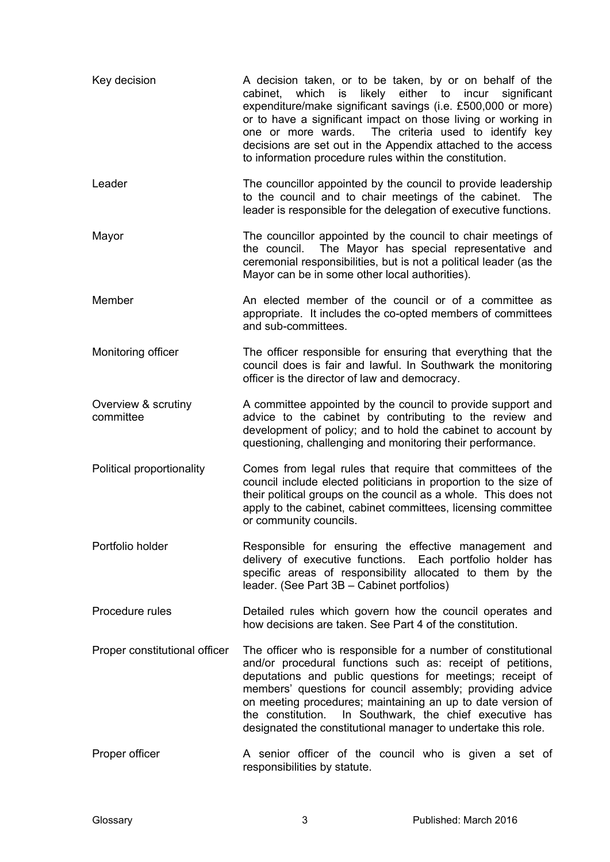| Key decision                     | A decision taken, or to be taken, by or on behalf of the<br>cabinet, which is likely either to incur significant<br>expenditure/make significant savings (i.e. £500,000 or more)<br>or to have a significant impact on those living or working in<br>The criteria used to identify key<br>one or more wards.<br>decisions are set out in the Appendix attached to the access<br>to information procedure rules within the constitution.             |
|----------------------------------|-----------------------------------------------------------------------------------------------------------------------------------------------------------------------------------------------------------------------------------------------------------------------------------------------------------------------------------------------------------------------------------------------------------------------------------------------------|
| Leader                           | The councillor appointed by the council to provide leadership<br>to the council and to chair meetings of the cabinet.<br>The<br>leader is responsible for the delegation of executive functions.                                                                                                                                                                                                                                                    |
| Mayor                            | The councillor appointed by the council to chair meetings of<br>the council. The Mayor has special representative and<br>ceremonial responsibilities, but is not a political leader (as the<br>Mayor can be in some other local authorities).                                                                                                                                                                                                       |
| Member                           | An elected member of the council or of a committee as<br>appropriate. It includes the co-opted members of committees<br>and sub-committees.                                                                                                                                                                                                                                                                                                         |
| Monitoring officer               | The officer responsible for ensuring that everything that the<br>council does is fair and lawful. In Southwark the monitoring<br>officer is the director of law and democracy.                                                                                                                                                                                                                                                                      |
| Overview & scrutiny<br>committee | A committee appointed by the council to provide support and<br>advice to the cabinet by contributing to the review and<br>development of policy; and to hold the cabinet to account by<br>questioning, challenging and monitoring their performance.                                                                                                                                                                                                |
| Political proportionality        | Comes from legal rules that require that committees of the<br>council include elected politicians in proportion to the size of<br>their political groups on the council as a whole. This does not<br>apply to the cabinet, cabinet committees, licensing committee<br>or community councils.                                                                                                                                                        |
| Portfolio holder                 | Responsible for ensuring the effective management and<br>delivery of executive functions. Each portfolio holder has<br>specific areas of responsibility allocated to them by the<br>leader. (See Part 3B - Cabinet portfolios)                                                                                                                                                                                                                      |
| Procedure rules                  | Detailed rules which govern how the council operates and<br>how decisions are taken. See Part 4 of the constitution.                                                                                                                                                                                                                                                                                                                                |
| Proper constitutional officer    | The officer who is responsible for a number of constitutional<br>and/or procedural functions such as: receipt of petitions,<br>deputations and public questions for meetings; receipt of<br>members' questions for council assembly; providing advice<br>on meeting procedures; maintaining an up to date version of<br>In Southwark, the chief executive has<br>the constitution.<br>designated the constitutional manager to undertake this role. |
| Proper officer                   | A senior officer of the council who is given a set of<br>responsibilities by statute.                                                                                                                                                                                                                                                                                                                                                               |